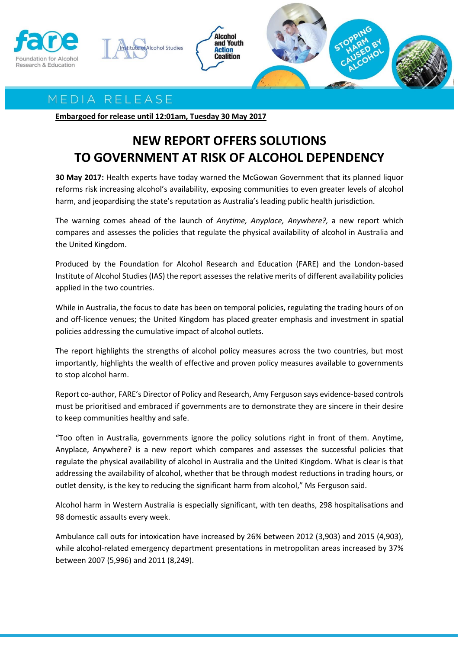

## MEDIA RELEASE

**Embargoed for release until 12:01am, Tuesday 30 May 2017**

## **NEW REPORT OFFERS SOLUTIONS TO GOVERNMENT AT RISK OF ALCOHOL DEPENDENCY**

**30 May 2017:** Health experts have today warned the McGowan Government that its planned liquor reforms risk increasing alcohol's availability, exposing communities to even greater levels of alcohol harm, and jeopardising the state's reputation as Australia's leading public health jurisdiction.

The warning comes ahead of the launch of *Anytime, Anyplace, Anywhere?,* a new report which compares and assesses the policies that regulate the physical availability of alcohol in Australia and the United Kingdom.

Produced by the Foundation for Alcohol Research and Education (FARE) and the London-based Institute of Alcohol Studies (IAS) the report assessesthe relative merits of different availability policies applied in the two countries.

While in Australia, the focus to date has been on temporal policies, regulating the trading hours of on and off-licence venues; the United Kingdom has placed greater emphasis and investment in spatial policies addressing the cumulative impact of alcohol outlets.

The report highlights the strengths of alcohol policy measures across the two countries, but most importantly, highlights the wealth of effective and proven policy measures available to governments to stop alcohol harm.

Report co-author, FARE's Director of Policy and Research, Amy Ferguson says evidence-based controls must be prioritised and embraced if governments are to demonstrate they are sincere in their desire to keep communities healthy and safe.

"Too often in Australia, governments ignore the policy solutions right in front of them. Anytime, Anyplace, Anywhere? is a new report which compares and assesses the successful policies that regulate the physical availability of alcohol in Australia and the United Kingdom. What is clear is that addressing the availability of alcohol, whether that be through modest reductions in trading hours, or outlet density, is the key to reducing the significant harm from alcohol," Ms Ferguson said.

Alcohol harm in Western Australia is especially significant, with ten deaths, 298 hospitalisations and 98 domestic assaults every week.

Ambulance call outs for intoxication have increased by 26% between 2012 (3,903) and 2015 (4,903), while alcohol-related emergency department presentations in metropolitan areas increased by 37% between 2007 (5,996) and 2011 (8,249).